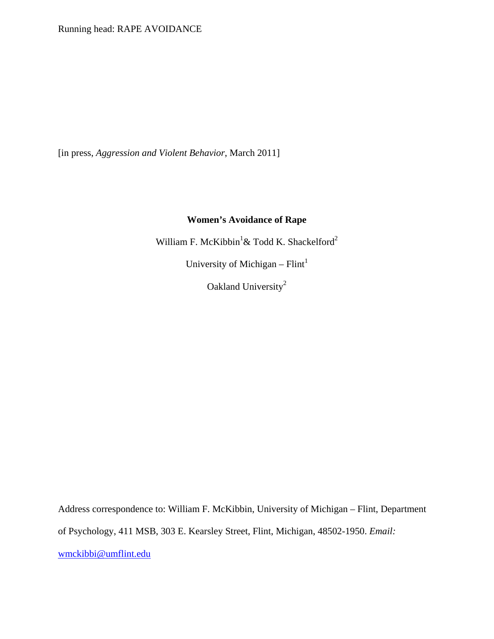[in press, *Aggression and Violent Behavior*, March 2011]

# **Women's Avoidance of Rape**

William F. McKibbin<sup>1</sup>& Todd K. Shackelford<sup>2</sup>

University of Michigan –  $Flint<sup>1</sup>$ 

Oakland University<sup>2</sup>

Address correspondence to: William F. McKibbin, University of Michigan – Flint, Department of Psychology, 411 MSB, 303 E. Kearsley Street, Flint, Michigan, 48502-1950. *Email:*  wmckibbi@umflint.edu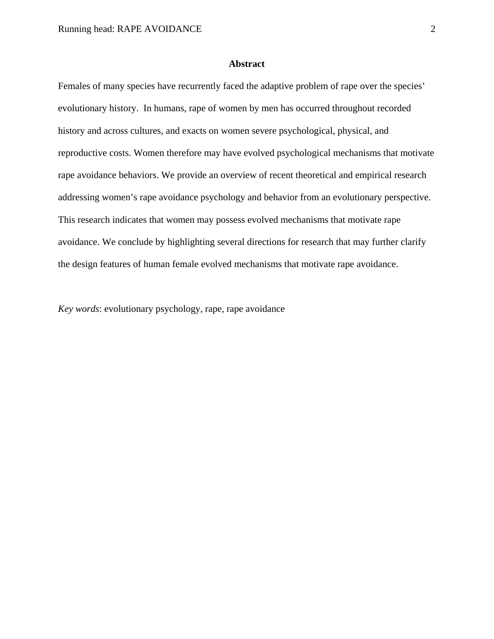# **Abstract**

Females of many species have recurrently faced the adaptive problem of rape over the species' evolutionary history. In humans, rape of women by men has occurred throughout recorded history and across cultures, and exacts on women severe psychological, physical, and reproductive costs. Women therefore may have evolved psychological mechanisms that motivate rape avoidance behaviors. We provide an overview of recent theoretical and empirical research addressing women's rape avoidance psychology and behavior from an evolutionary perspective. This research indicates that women may possess evolved mechanisms that motivate rape avoidance. We conclude by highlighting several directions for research that may further clarify the design features of human female evolved mechanisms that motivate rape avoidance.

*Key words*: evolutionary psychology, rape, rape avoidance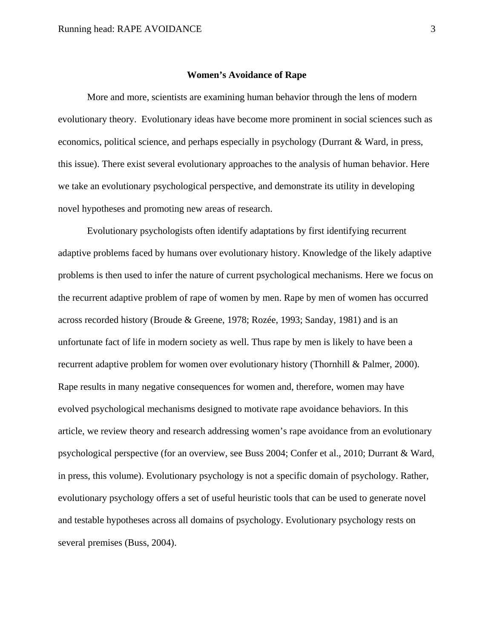#### **Women's Avoidance of Rape**

 More and more, scientists are examining human behavior through the lens of modern evolutionary theory. Evolutionary ideas have become more prominent in social sciences such as economics, political science, and perhaps especially in psychology (Durrant & Ward, in press, this issue). There exist several evolutionary approaches to the analysis of human behavior. Here we take an evolutionary psychological perspective, and demonstrate its utility in developing novel hypotheses and promoting new areas of research.

Evolutionary psychologists often identify adaptations by first identifying recurrent adaptive problems faced by humans over evolutionary history. Knowledge of the likely adaptive problems is then used to infer the nature of current psychological mechanisms. Here we focus on the recurrent adaptive problem of rape of women by men. Rape by men of women has occurred across recorded history (Broude & Greene, 1978; Rozée, 1993; Sanday, 1981) and is an unfortunate fact of life in modern society as well. Thus rape by men is likely to have been a recurrent adaptive problem for women over evolutionary history (Thornhill & Palmer, 2000). Rape results in many negative consequences for women and, therefore, women may have evolved psychological mechanisms designed to motivate rape avoidance behaviors. In this article, we review theory and research addressing women's rape avoidance from an evolutionary psychological perspective (for an overview, see Buss 2004; Confer et al., 2010; Durrant & Ward, in press, this volume). Evolutionary psychology is not a specific domain of psychology. Rather, evolutionary psychology offers a set of useful heuristic tools that can be used to generate novel and testable hypotheses across all domains of psychology. Evolutionary psychology rests on several premises (Buss, 2004).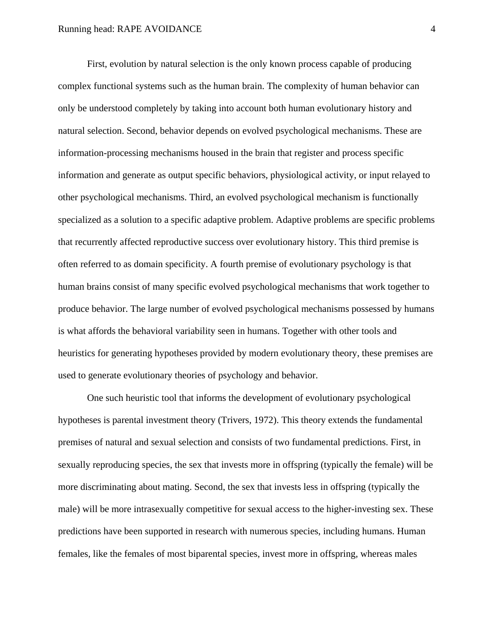First, evolution by natural selection is the only known process capable of producing complex functional systems such as the human brain. The complexity of human behavior can only be understood completely by taking into account both human evolutionary history and natural selection. Second, behavior depends on evolved psychological mechanisms. These are information-processing mechanisms housed in the brain that register and process specific information and generate as output specific behaviors, physiological activity, or input relayed to other psychological mechanisms. Third, an evolved psychological mechanism is functionally specialized as a solution to a specific adaptive problem. Adaptive problems are specific problems that recurrently affected reproductive success over evolutionary history. This third premise is often referred to as domain specificity. A fourth premise of evolutionary psychology is that human brains consist of many specific evolved psychological mechanisms that work together to produce behavior. The large number of evolved psychological mechanisms possessed by humans is what affords the behavioral variability seen in humans. Together with other tools and heuristics for generating hypotheses provided by modern evolutionary theory, these premises are used to generate evolutionary theories of psychology and behavior.

 One such heuristic tool that informs the development of evolutionary psychological hypotheses is parental investment theory (Trivers, 1972). This theory extends the fundamental premises of natural and sexual selection and consists of two fundamental predictions. First, in sexually reproducing species, the sex that invests more in offspring (typically the female) will be more discriminating about mating. Second, the sex that invests less in offspring (typically the male) will be more intrasexually competitive for sexual access to the higher-investing sex. These predictions have been supported in research with numerous species, including humans. Human females, like the females of most biparental species, invest more in offspring, whereas males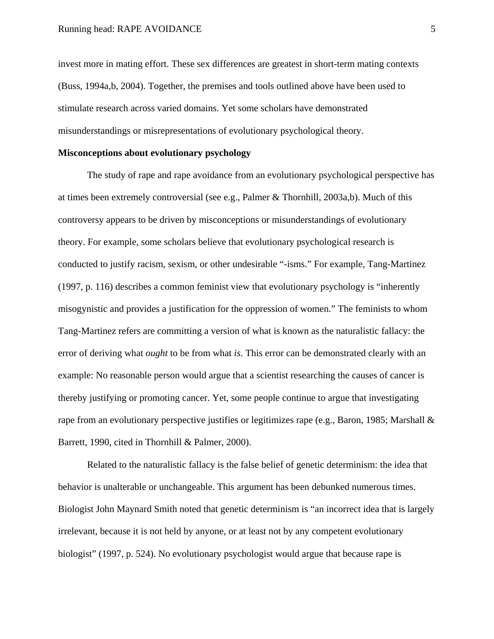invest more in mating effort. These sex differences are greatest in short-term mating contexts (Buss, 1994a,b, 2004). Together, the premises and tools outlined above have been used to stimulate research across varied domains. Yet some scholars have demonstrated misunderstandings or misrepresentations of evolutionary psychological theory.

## **Misconceptions about evolutionary psychology**

The study of rape and rape avoidance from an evolutionary psychological perspective has at times been extremely controversial (see e.g., Palmer & Thornhill, 2003a,b). Much of this controversy appears to be driven by misconceptions or misunderstandings of evolutionary theory. For example, some scholars believe that evolutionary psychological research is conducted to justify racism, sexism, or other undesirable "-isms." For example, Tang-Martinez (1997, p. 116) describes a common feminist view that evolutionary psychology is "inherently misogynistic and provides a justification for the oppression of women." The feminists to whom Tang-Martinez refers are committing a version of what is known as the naturalistic fallacy: the error of deriving what *ought* to be from what *is*. This error can be demonstrated clearly with an example: No reasonable person would argue that a scientist researching the causes of cancer is thereby justifying or promoting cancer. Yet, some people continue to argue that investigating rape from an evolutionary perspective justifies or legitimizes rape (e.g., Baron, 1985; Marshall & Barrett, 1990, cited in Thornhill & Palmer, 2000).

Related to the naturalistic fallacy is the false belief of genetic determinism: the idea that behavior is unalterable or unchangeable. This argument has been debunked numerous times. Biologist John Maynard Smith noted that genetic determinism is "an incorrect idea that is largely irrelevant, because it is not held by anyone, or at least not by any competent evolutionary biologist" (1997, p. 524). No evolutionary psychologist would argue that because rape is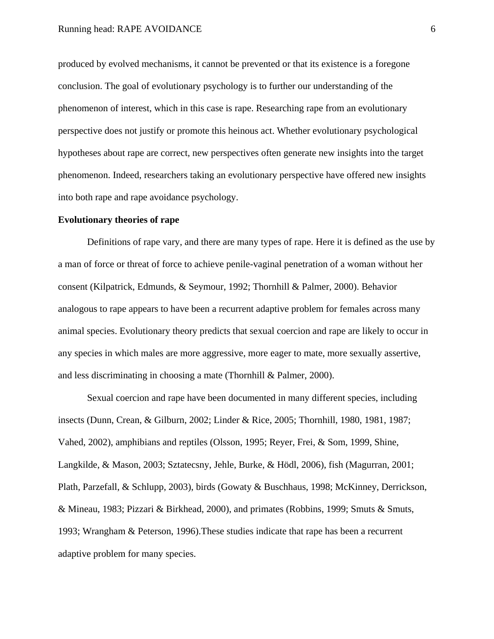produced by evolved mechanisms, it cannot be prevented or that its existence is a foregone conclusion. The goal of evolutionary psychology is to further our understanding of the phenomenon of interest, which in this case is rape. Researching rape from an evolutionary perspective does not justify or promote this heinous act. Whether evolutionary psychological hypotheses about rape are correct, new perspectives often generate new insights into the target phenomenon. Indeed, researchers taking an evolutionary perspective have offered new insights into both rape and rape avoidance psychology.

#### **Evolutionary theories of rape**

Definitions of rape vary, and there are many types of rape. Here it is defined as the use by a man of force or threat of force to achieve penile-vaginal penetration of a woman without her consent (Kilpatrick, Edmunds, & Seymour, 1992; Thornhill & Palmer, 2000). Behavior analogous to rape appears to have been a recurrent adaptive problem for females across many animal species. Evolutionary theory predicts that sexual coercion and rape are likely to occur in any species in which males are more aggressive, more eager to mate, more sexually assertive, and less discriminating in choosing a mate (Thornhill & Palmer, 2000).

Sexual coercion and rape have been documented in many different species, including insects (Dunn, Crean, & Gilburn, 2002; Linder & Rice, 2005; Thornhill, 1980, 1981, 1987; Vahed, 2002), amphibians and reptiles (Olsson, 1995; Reyer, Frei, & Som, 1999, Shine, Langkilde, & Mason, 2003; Sztatecsny, Jehle, Burke, & Hödl, 2006), fish (Magurran, 2001; Plath, Parzefall, & Schlupp, 2003), birds (Gowaty & Buschhaus, 1998; McKinney, Derrickson, & Mineau, 1983; Pizzari & Birkhead, 2000), and primates (Robbins, 1999; Smuts & Smuts, 1993; Wrangham & Peterson, 1996).These studies indicate that rape has been a recurrent adaptive problem for many species.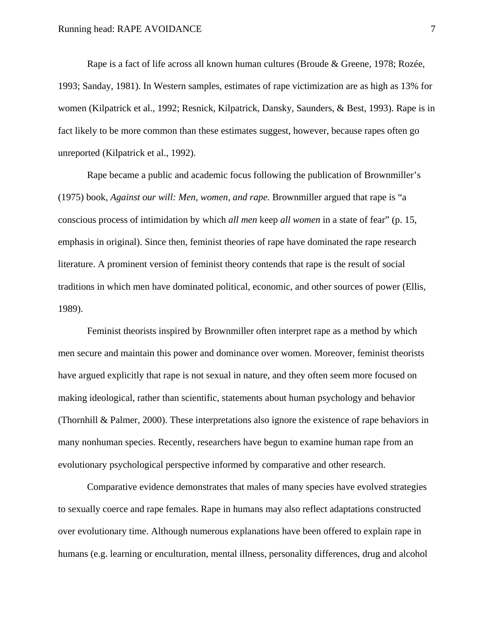Rape is a fact of life across all known human cultures (Broude & Greene, 1978; Rozée, 1993; Sanday, 1981). In Western samples, estimates of rape victimization are as high as 13% for women (Kilpatrick et al., 1992; Resnick, Kilpatrick, Dansky, Saunders, & Best, 1993). Rape is in fact likely to be more common than these estimates suggest, however, because rapes often go unreported (Kilpatrick et al., 1992).

 Rape became a public and academic focus following the publication of Brownmiller's (1975) book, *Against our will: Men, women, and rape.* Brownmiller argued that rape is "a conscious process of intimidation by which *all men* keep *all women* in a state of fear" (p. 15, emphasis in original). Since then, feminist theories of rape have dominated the rape research literature. A prominent version of feminist theory contends that rape is the result of social traditions in which men have dominated political, economic, and other sources of power (Ellis, 1989).

Feminist theorists inspired by Brownmiller often interpret rape as a method by which men secure and maintain this power and dominance over women. Moreover, feminist theorists have argued explicitly that rape is not sexual in nature, and they often seem more focused on making ideological, rather than scientific, statements about human psychology and behavior (Thornhill & Palmer, 2000). These interpretations also ignore the existence of rape behaviors in many nonhuman species. Recently, researchers have begun to examine human rape from an evolutionary psychological perspective informed by comparative and other research.

Comparative evidence demonstrates that males of many species have evolved strategies to sexually coerce and rape females. Rape in humans may also reflect adaptations constructed over evolutionary time. Although numerous explanations have been offered to explain rape in humans (e.g. learning or enculturation, mental illness, personality differences, drug and alcohol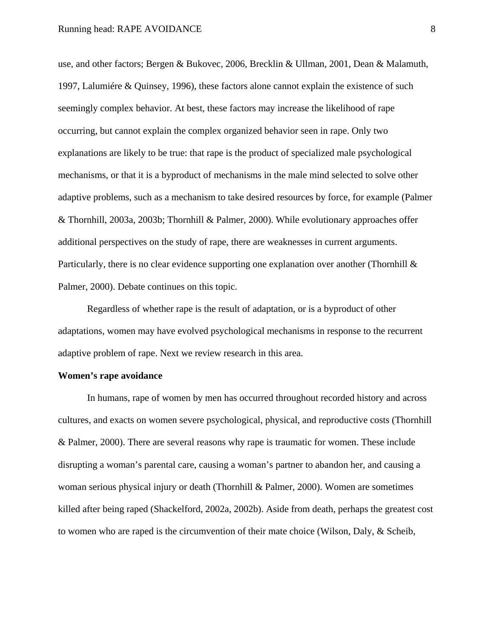use, and other factors; Bergen & Bukovec, 2006, Brecklin & Ullman, 2001, Dean & Malamuth, 1997, Lalumiére & Quinsey, 1996), these factors alone cannot explain the existence of such seemingly complex behavior. At best, these factors may increase the likelihood of rape occurring, but cannot explain the complex organized behavior seen in rape. Only two explanations are likely to be true: that rape is the product of specialized male psychological mechanisms, or that it is a byproduct of mechanisms in the male mind selected to solve other adaptive problems, such as a mechanism to take desired resources by force, for example (Palmer & Thornhill, 2003a, 2003b; Thornhill & Palmer, 2000). While evolutionary approaches offer additional perspectives on the study of rape, there are weaknesses in current arguments. Particularly, there is no clear evidence supporting one explanation over another (Thornhill & Palmer, 2000). Debate continues on this topic.

Regardless of whether rape is the result of adaptation, or is a byproduct of other adaptations, women may have evolved psychological mechanisms in response to the recurrent adaptive problem of rape. Next we review research in this area.

## **Women's rape avoidance**

 In humans, rape of women by men has occurred throughout recorded history and across cultures, and exacts on women severe psychological, physical, and reproductive costs (Thornhill & Palmer, 2000). There are several reasons why rape is traumatic for women. These include disrupting a woman's parental care, causing a woman's partner to abandon her, and causing a woman serious physical injury or death (Thornhill & Palmer, 2000). Women are sometimes killed after being raped (Shackelford, 2002a, 2002b). Aside from death, perhaps the greatest cost to women who are raped is the circumvention of their mate choice (Wilson, Daly, & Scheib,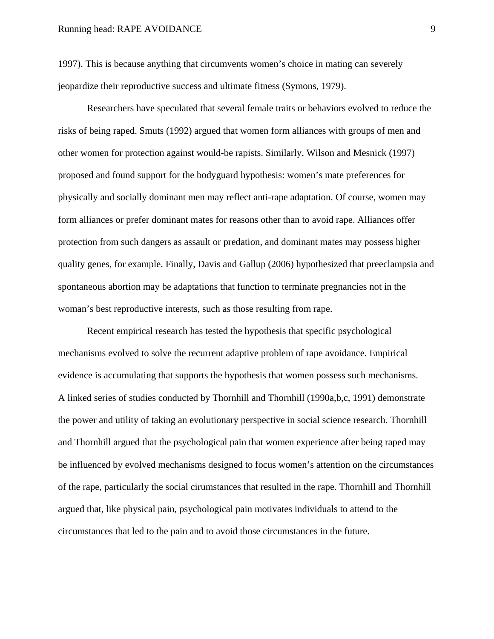1997). This is because anything that circumvents women's choice in mating can severely jeopardize their reproductive success and ultimate fitness (Symons, 1979).

Researchers have speculated that several female traits or behaviors evolved to reduce the risks of being raped. Smuts (1992) argued that women form alliances with groups of men and other women for protection against would-be rapists. Similarly, Wilson and Mesnick (1997) proposed and found support for the bodyguard hypothesis: women's mate preferences for physically and socially dominant men may reflect anti-rape adaptation. Of course, women may form alliances or prefer dominant mates for reasons other than to avoid rape. Alliances offer protection from such dangers as assault or predation, and dominant mates may possess higher quality genes, for example. Finally, Davis and Gallup (2006) hypothesized that preeclampsia and spontaneous abortion may be adaptations that function to terminate pregnancies not in the woman's best reproductive interests, such as those resulting from rape.

Recent empirical research has tested the hypothesis that specific psychological mechanisms evolved to solve the recurrent adaptive problem of rape avoidance. Empirical evidence is accumulating that supports the hypothesis that women possess such mechanisms. A linked series of studies conducted by Thornhill and Thornhill (1990a,b,c, 1991) demonstrate the power and utility of taking an evolutionary perspective in social science research. Thornhill and Thornhill argued that the psychological pain that women experience after being raped may be influenced by evolved mechanisms designed to focus women's attention on the circumstances of the rape, particularly the social cirumstances that resulted in the rape. Thornhill and Thornhill argued that, like physical pain, psychological pain motivates individuals to attend to the circumstances that led to the pain and to avoid those circumstances in the future.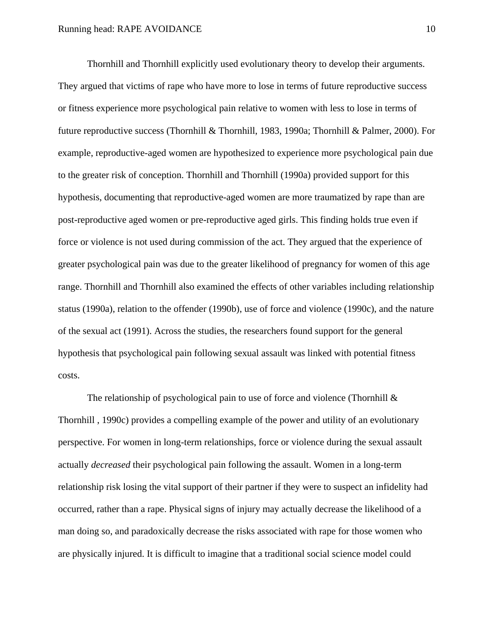Thornhill and Thornhill explicitly used evolutionary theory to develop their arguments. They argued that victims of rape who have more to lose in terms of future reproductive success or fitness experience more psychological pain relative to women with less to lose in terms of future reproductive success (Thornhill & Thornhill, 1983, 1990a; Thornhill & Palmer, 2000). For example, reproductive-aged women are hypothesized to experience more psychological pain due to the greater risk of conception. Thornhill and Thornhill (1990a) provided support for this hypothesis, documenting that reproductive-aged women are more traumatized by rape than are post-reproductive aged women or pre-reproductive aged girls. This finding holds true even if force or violence is not used during commission of the act. They argued that the experience of greater psychological pain was due to the greater likelihood of pregnancy for women of this age range. Thornhill and Thornhill also examined the effects of other variables including relationship status (1990a), relation to the offender (1990b), use of force and violence (1990c), and the nature of the sexual act (1991). Across the studies, the researchers found support for the general hypothesis that psychological pain following sexual assault was linked with potential fitness costs.

The relationship of psychological pain to use of force and violence (Thornhill  $\&$ Thornhill , 1990c) provides a compelling example of the power and utility of an evolutionary perspective. For women in long-term relationships, force or violence during the sexual assault actually *decreased* their psychological pain following the assault. Women in a long-term relationship risk losing the vital support of their partner if they were to suspect an infidelity had occurred, rather than a rape. Physical signs of injury may actually decrease the likelihood of a man doing so, and paradoxically decrease the risks associated with rape for those women who are physically injured. It is difficult to imagine that a traditional social science model could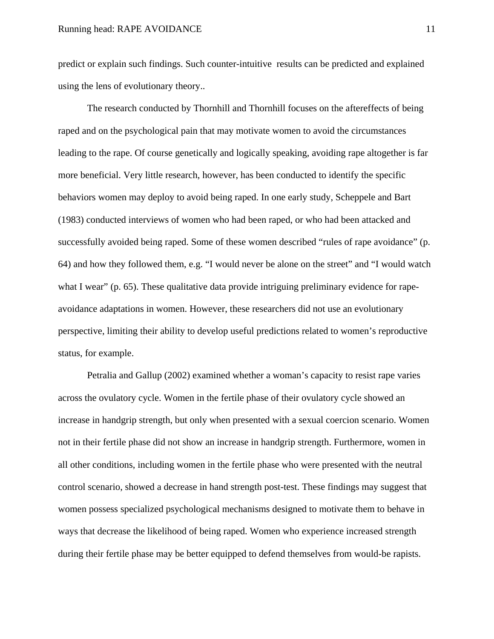predict or explain such findings. Such counter-intuitive results can be predicted and explained using the lens of evolutionary theory..

The research conducted by Thornhill and Thornhill focuses on the aftereffects of being raped and on the psychological pain that may motivate women to avoid the circumstances leading to the rape. Of course genetically and logically speaking, avoiding rape altogether is far more beneficial. Very little research, however, has been conducted to identify the specific behaviors women may deploy to avoid being raped. In one early study, Scheppele and Bart (1983) conducted interviews of women who had been raped, or who had been attacked and successfully avoided being raped. Some of these women described "rules of rape avoidance" (p. 64) and how they followed them, e.g. "I would never be alone on the street" and "I would watch what I wear" (p. 65). These qualitative data provide intriguing preliminary evidence for rapeavoidance adaptations in women. However, these researchers did not use an evolutionary perspective, limiting their ability to develop useful predictions related to women's reproductive status, for example.

Petralia and Gallup (2002) examined whether a woman's capacity to resist rape varies across the ovulatory cycle. Women in the fertile phase of their ovulatory cycle showed an increase in handgrip strength, but only when presented with a sexual coercion scenario. Women not in their fertile phase did not show an increase in handgrip strength. Furthermore, women in all other conditions, including women in the fertile phase who were presented with the neutral control scenario, showed a decrease in hand strength post-test. These findings may suggest that women possess specialized psychological mechanisms designed to motivate them to behave in ways that decrease the likelihood of being raped. Women who experience increased strength during their fertile phase may be better equipped to defend themselves from would-be rapists.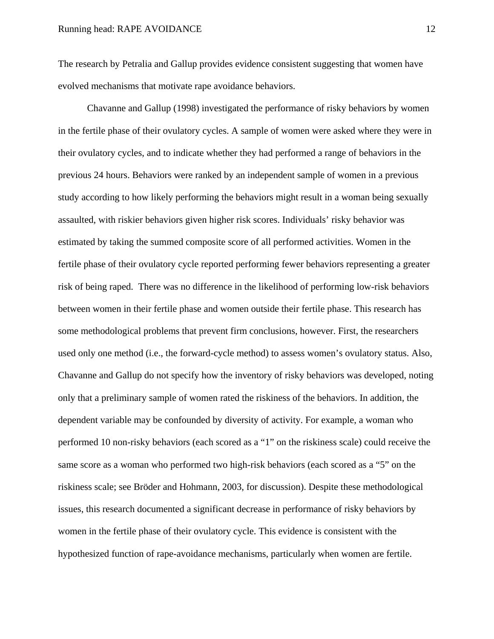The research by Petralia and Gallup provides evidence consistent suggesting that women have evolved mechanisms that motivate rape avoidance behaviors.

Chavanne and Gallup (1998) investigated the performance of risky behaviors by women in the fertile phase of their ovulatory cycles. A sample of women were asked where they were in their ovulatory cycles, and to indicate whether they had performed a range of behaviors in the previous 24 hours. Behaviors were ranked by an independent sample of women in a previous study according to how likely performing the behaviors might result in a woman being sexually assaulted, with riskier behaviors given higher risk scores. Individuals' risky behavior was estimated by taking the summed composite score of all performed activities. Women in the fertile phase of their ovulatory cycle reported performing fewer behaviors representing a greater risk of being raped. There was no difference in the likelihood of performing low-risk behaviors between women in their fertile phase and women outside their fertile phase. This research has some methodological problems that prevent firm conclusions, however. First, the researchers used only one method (i.e., the forward-cycle method) to assess women's ovulatory status. Also, Chavanne and Gallup do not specify how the inventory of risky behaviors was developed, noting only that a preliminary sample of women rated the riskiness of the behaviors. In addition, the dependent variable may be confounded by diversity of activity. For example, a woman who performed 10 non-risky behaviors (each scored as a "1" on the riskiness scale) could receive the same score as a woman who performed two high-risk behaviors (each scored as a "5" on the riskiness scale; see Bröder and Hohmann, 2003, for discussion). Despite these methodological issues, this research documented a significant decrease in performance of risky behaviors by women in the fertile phase of their ovulatory cycle. This evidence is consistent with the hypothesized function of rape-avoidance mechanisms, particularly when women are fertile.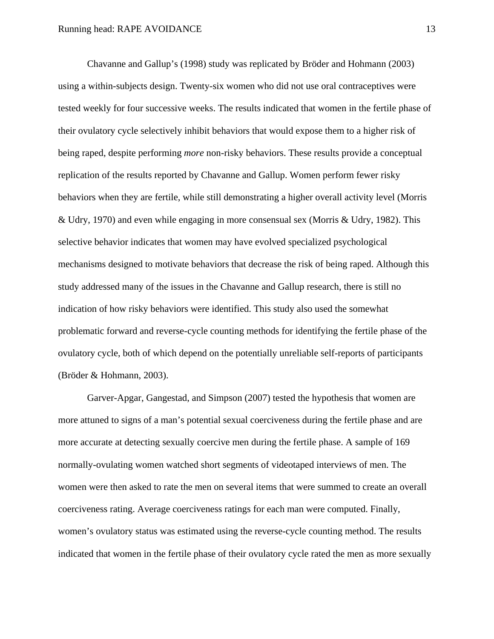Chavanne and Gallup's (1998) study was replicated by Bröder and Hohmann (2003) using a within-subjects design. Twenty-six women who did not use oral contraceptives were tested weekly for four successive weeks. The results indicated that women in the fertile phase of their ovulatory cycle selectively inhibit behaviors that would expose them to a higher risk of being raped, despite performing *more* non-risky behaviors. These results provide a conceptual replication of the results reported by Chavanne and Gallup. Women perform fewer risky behaviors when they are fertile, while still demonstrating a higher overall activity level (Morris & Udry, 1970) and even while engaging in more consensual sex (Morris & Udry, 1982). This selective behavior indicates that women may have evolved specialized psychological mechanisms designed to motivate behaviors that decrease the risk of being raped. Although this study addressed many of the issues in the Chavanne and Gallup research, there is still no indication of how risky behaviors were identified. This study also used the somewhat problematic forward and reverse-cycle counting methods for identifying the fertile phase of the ovulatory cycle, both of which depend on the potentially unreliable self-reports of participants (Bröder & Hohmann, 2003).

Garver-Apgar, Gangestad, and Simpson (2007) tested the hypothesis that women are more attuned to signs of a man's potential sexual coerciveness during the fertile phase and are more accurate at detecting sexually coercive men during the fertile phase. A sample of 169 normally-ovulating women watched short segments of videotaped interviews of men. The women were then asked to rate the men on several items that were summed to create an overall coerciveness rating. Average coerciveness ratings for each man were computed. Finally, women's ovulatory status was estimated using the reverse-cycle counting method. The results indicated that women in the fertile phase of their ovulatory cycle rated the men as more sexually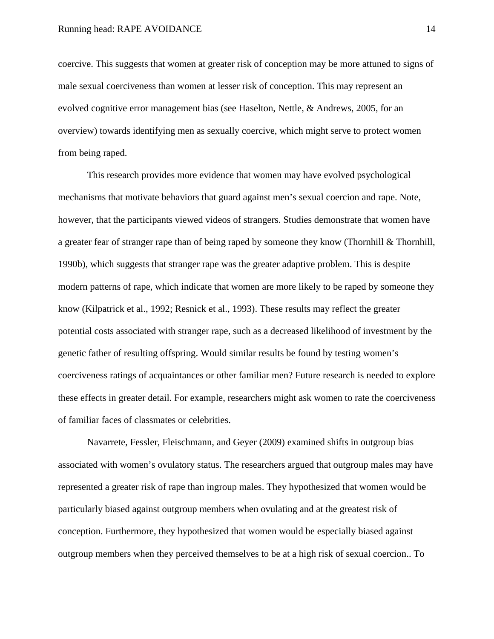coercive. This suggests that women at greater risk of conception may be more attuned to signs of male sexual coerciveness than women at lesser risk of conception. This may represent an evolved cognitive error management bias (see Haselton, Nettle, & Andrews, 2005, for an overview) towards identifying men as sexually coercive, which might serve to protect women from being raped.

This research provides more evidence that women may have evolved psychological mechanisms that motivate behaviors that guard against men's sexual coercion and rape. Note, however, that the participants viewed videos of strangers. Studies demonstrate that women have a greater fear of stranger rape than of being raped by someone they know (Thornhill & Thornhill, 1990b), which suggests that stranger rape was the greater adaptive problem. This is despite modern patterns of rape, which indicate that women are more likely to be raped by someone they know (Kilpatrick et al., 1992; Resnick et al., 1993). These results may reflect the greater potential costs associated with stranger rape, such as a decreased likelihood of investment by the genetic father of resulting offspring. Would similar results be found by testing women's coerciveness ratings of acquaintances or other familiar men? Future research is needed to explore these effects in greater detail. For example, researchers might ask women to rate the coerciveness of familiar faces of classmates or celebrities.

Navarrete, Fessler, Fleischmann, and Geyer (2009) examined shifts in outgroup bias associated with women's ovulatory status. The researchers argued that outgroup males may have represented a greater risk of rape than ingroup males. They hypothesized that women would be particularly biased against outgroup members when ovulating and at the greatest risk of conception. Furthermore, they hypothesized that women would be especially biased against outgroup members when they perceived themselves to be at a high risk of sexual coercion.. To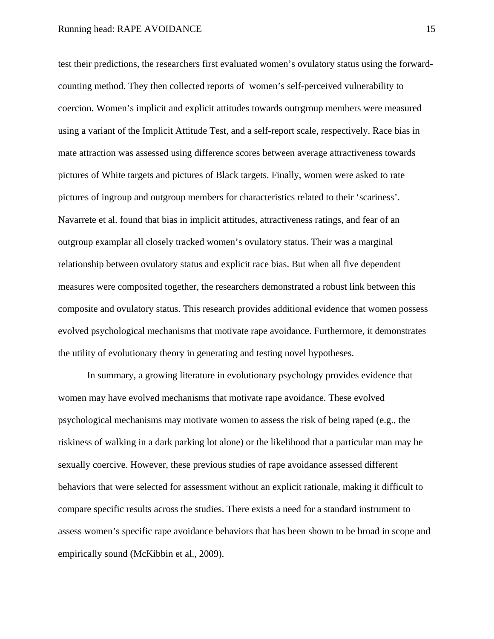## Running head: RAPE AVOIDANCE 15

test their predictions, the researchers first evaluated women's ovulatory status using the forwardcounting method. They then collected reports of women's self-perceived vulnerability to coercion. Women's implicit and explicit attitudes towards outrgroup members were measured using a variant of the Implicit Attitude Test, and a self-report scale, respectively. Race bias in mate attraction was assessed using difference scores between average attractiveness towards pictures of White targets and pictures of Black targets. Finally, women were asked to rate pictures of ingroup and outgroup members for characteristics related to their 'scariness'. Navarrete et al. found that bias in implicit attitudes, attractiveness ratings, and fear of an outgroup examplar all closely tracked women's ovulatory status. Their was a marginal relationship between ovulatory status and explicit race bias. But when all five dependent measures were composited together, the researchers demonstrated a robust link between this composite and ovulatory status. This research provides additional evidence that women possess evolved psychological mechanisms that motivate rape avoidance. Furthermore, it demonstrates the utility of evolutionary theory in generating and testing novel hypotheses.

In summary, a growing literature in evolutionary psychology provides evidence that women may have evolved mechanisms that motivate rape avoidance. These evolved psychological mechanisms may motivate women to assess the risk of being raped (e.g., the riskiness of walking in a dark parking lot alone) or the likelihood that a particular man may be sexually coercive. However, these previous studies of rape avoidance assessed different behaviors that were selected for assessment without an explicit rationale, making it difficult to compare specific results across the studies. There exists a need for a standard instrument to assess women's specific rape avoidance behaviors that has been shown to be broad in scope and empirically sound (McKibbin et al., 2009).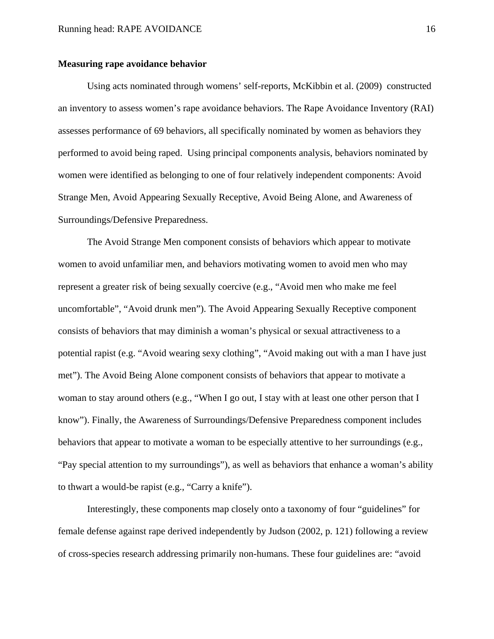## **Measuring rape avoidance behavior**

Using acts nominated through womens' self-reports, McKibbin et al. (2009) constructed an inventory to assess women's rape avoidance behaviors. The Rape Avoidance Inventory (RAI) assesses performance of 69 behaviors, all specifically nominated by women as behaviors they performed to avoid being raped. Using principal components analysis, behaviors nominated by women were identified as belonging to one of four relatively independent components: Avoid Strange Men, Avoid Appearing Sexually Receptive, Avoid Being Alone, and Awareness of Surroundings/Defensive Preparedness.

The Avoid Strange Men component consists of behaviors which appear to motivate women to avoid unfamiliar men, and behaviors motivating women to avoid men who may represent a greater risk of being sexually coercive (e.g., "Avoid men who make me feel uncomfortable", "Avoid drunk men"). The Avoid Appearing Sexually Receptive component consists of behaviors that may diminish a woman's physical or sexual attractiveness to a potential rapist (e.g. "Avoid wearing sexy clothing", "Avoid making out with a man I have just met"). The Avoid Being Alone component consists of behaviors that appear to motivate a woman to stay around others (e.g., "When I go out, I stay with at least one other person that I know"). Finally, the Awareness of Surroundings/Defensive Preparedness component includes behaviors that appear to motivate a woman to be especially attentive to her surroundings (e.g., "Pay special attention to my surroundings"), as well as behaviors that enhance a woman's ability to thwart a would-be rapist (e.g., "Carry a knife").

Interestingly, these components map closely onto a taxonomy of four "guidelines" for female defense against rape derived independently by Judson (2002, p. 121) following a review of cross-species research addressing primarily non-humans. These four guidelines are: "avoid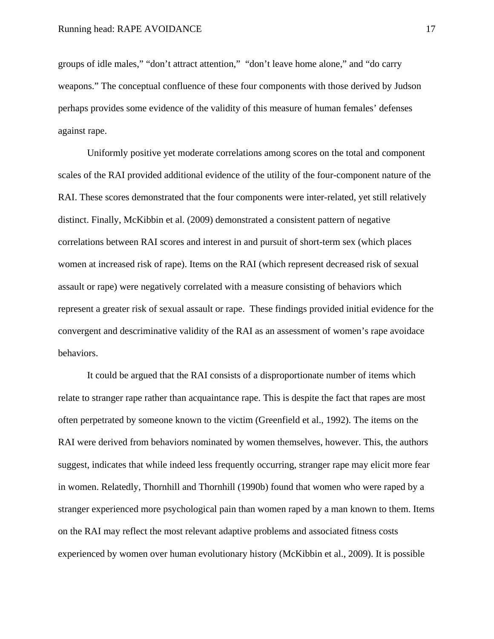groups of idle males," "don't attract attention," "don't leave home alone," and "do carry weapons." The conceptual confluence of these four components with those derived by Judson perhaps provides some evidence of the validity of this measure of human females' defenses against rape.

Uniformly positive yet moderate correlations among scores on the total and component scales of the RAI provided additional evidence of the utility of the four-component nature of the RAI. These scores demonstrated that the four components were inter-related, yet still relatively distinct. Finally, McKibbin et al. (2009) demonstrated a consistent pattern of negative correlations between RAI scores and interest in and pursuit of short-term sex (which places women at increased risk of rape). Items on the RAI (which represent decreased risk of sexual assault or rape) were negatively correlated with a measure consisting of behaviors which represent a greater risk of sexual assault or rape. These findings provided initial evidence for the convergent and descriminative validity of the RAI as an assessment of women's rape avoidace behaviors.

It could be argued that the RAI consists of a disproportionate number of items which relate to stranger rape rather than acquaintance rape. This is despite the fact that rapes are most often perpetrated by someone known to the victim (Greenfield et al., 1992). The items on the RAI were derived from behaviors nominated by women themselves, however. This, the authors suggest, indicates that while indeed less frequently occurring, stranger rape may elicit more fear in women. Relatedly, Thornhill and Thornhill (1990b) found that women who were raped by a stranger experienced more psychological pain than women raped by a man known to them. Items on the RAI may reflect the most relevant adaptive problems and associated fitness costs experienced by women over human evolutionary history (McKibbin et al., 2009). It is possible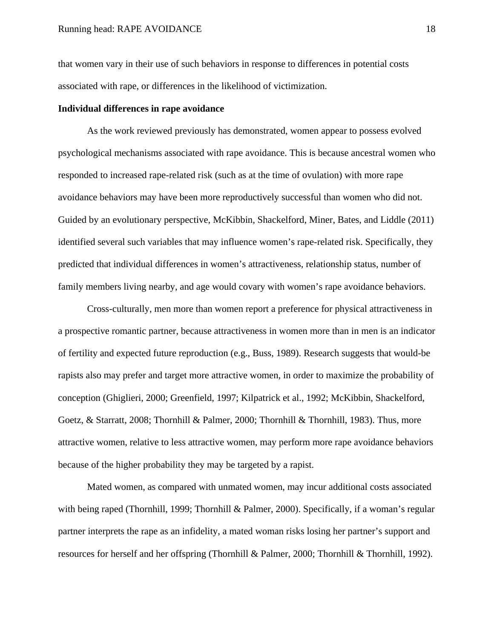that women vary in their use of such behaviors in response to differences in potential costs associated with rape, or differences in the likelihood of victimization.

#### **Individual differences in rape avoidance**

As the work reviewed previously has demonstrated, women appear to possess evolved psychological mechanisms associated with rape avoidance. This is because ancestral women who responded to increased rape-related risk (such as at the time of ovulation) with more rape avoidance behaviors may have been more reproductively successful than women who did not. Guided by an evolutionary perspective, McKibbin, Shackelford, Miner, Bates, and Liddle (2011) identified several such variables that may influence women's rape-related risk. Specifically, they predicted that individual differences in women's attractiveness, relationship status, number of family members living nearby, and age would covary with women's rape avoidance behaviors.

Cross-culturally, men more than women report a preference for physical attractiveness in a prospective romantic partner, because attractiveness in women more than in men is an indicator of fertility and expected future reproduction (e.g., Buss, 1989). Research suggests that would-be rapists also may prefer and target more attractive women, in order to maximize the probability of conception (Ghiglieri, 2000; Greenfield, 1997; Kilpatrick et al., 1992; McKibbin, Shackelford, Goetz, & Starratt, 2008; Thornhill & Palmer, 2000; Thornhill & Thornhill, 1983). Thus, more attractive women, relative to less attractive women, may perform more rape avoidance behaviors because of the higher probability they may be targeted by a rapist.

Mated women, as compared with unmated women, may incur additional costs associated with being raped (Thornhill, 1999; Thornhill & Palmer, 2000). Specifically, if a woman's regular partner interprets the rape as an infidelity, a mated woman risks losing her partner's support and resources for herself and her offspring (Thornhill & Palmer, 2000; Thornhill & Thornhill, 1992).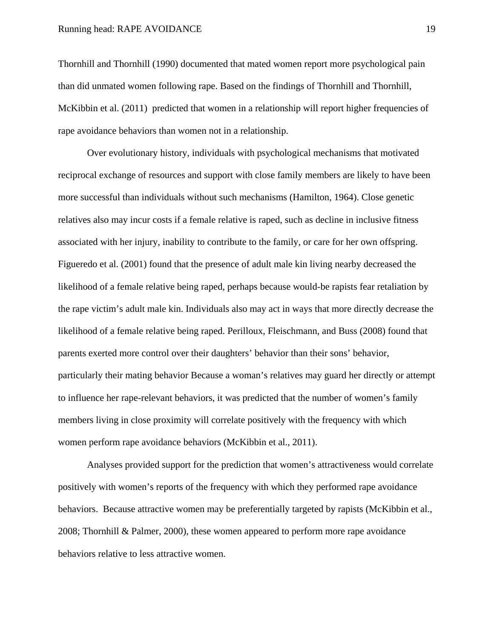## Running head: RAPE AVOIDANCE 19

Thornhill and Thornhill (1990) documented that mated women report more psychological pain than did unmated women following rape. Based on the findings of Thornhill and Thornhill, McKibbin et al. (2011) predicted that women in a relationship will report higher frequencies of rape avoidance behaviors than women not in a relationship.

Over evolutionary history, individuals with psychological mechanisms that motivated reciprocal exchange of resources and support with close family members are likely to have been more successful than individuals without such mechanisms (Hamilton, 1964). Close genetic relatives also may incur costs if a female relative is raped, such as decline in inclusive fitness associated with her injury, inability to contribute to the family, or care for her own offspring. Figueredo et al. (2001) found that the presence of adult male kin living nearby decreased the likelihood of a female relative being raped, perhaps because would-be rapists fear retaliation by the rape victim's adult male kin. Individuals also may act in ways that more directly decrease the likelihood of a female relative being raped. Perilloux, Fleischmann, and Buss (2008) found that parents exerted more control over their daughters' behavior than their sons' behavior, particularly their mating behavior Because a woman's relatives may guard her directly or attempt to influence her rape-relevant behaviors, it was predicted that the number of women's family members living in close proximity will correlate positively with the frequency with which women perform rape avoidance behaviors (McKibbin et al., 2011).

 Analyses provided support for the prediction that women's attractiveness would correlate positively with women's reports of the frequency with which they performed rape avoidance behaviors. Because attractive women may be preferentially targeted by rapists (McKibbin et al., 2008; Thornhill & Palmer, 2000), these women appeared to perform more rape avoidance behaviors relative to less attractive women.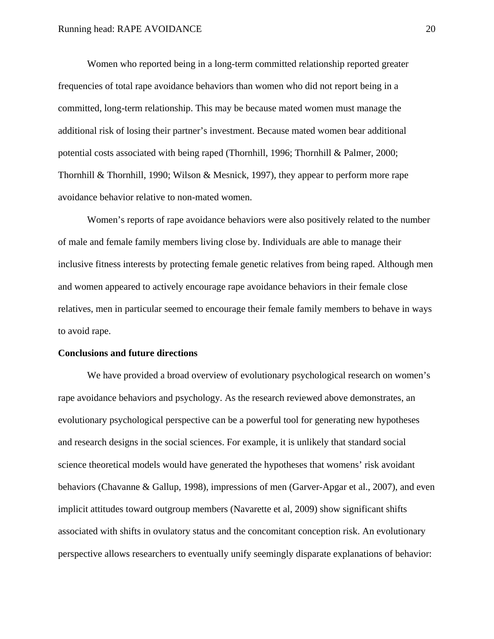Women who reported being in a long-term committed relationship reported greater frequencies of total rape avoidance behaviors than women who did not report being in a committed, long-term relationship. This may be because mated women must manage the additional risk of losing their partner's investment. Because mated women bear additional potential costs associated with being raped (Thornhill, 1996; Thornhill & Palmer, 2000; Thornhill & Thornhill, 1990; Wilson & Mesnick, 1997), they appear to perform more rape avoidance behavior relative to non-mated women.

Women's reports of rape avoidance behaviors were also positively related to the number of male and female family members living close by. Individuals are able to manage their inclusive fitness interests by protecting female genetic relatives from being raped. Although men and women appeared to actively encourage rape avoidance behaviors in their female close relatives, men in particular seemed to encourage their female family members to behave in ways to avoid rape.

## **Conclusions and future directions**

We have provided a broad overview of evolutionary psychological research on women's rape avoidance behaviors and psychology. As the research reviewed above demonstrates, an evolutionary psychological perspective can be a powerful tool for generating new hypotheses and research designs in the social sciences. For example, it is unlikely that standard social science theoretical models would have generated the hypotheses that womens' risk avoidant behaviors (Chavanne & Gallup, 1998), impressions of men (Garver-Apgar et al., 2007), and even implicit attitudes toward outgroup members (Navarette et al, 2009) show significant shifts associated with shifts in ovulatory status and the concomitant conception risk. An evolutionary perspective allows researchers to eventually unify seemingly disparate explanations of behavior: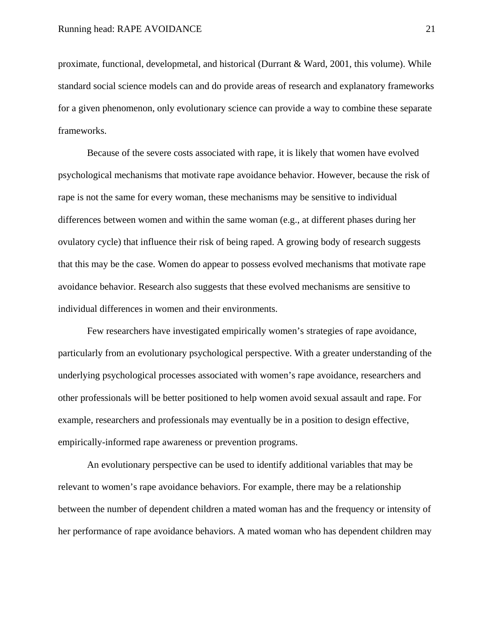proximate, functional, developmetal, and historical (Durrant  $\&$  Ward, 2001, this volume). While standard social science models can and do provide areas of research and explanatory frameworks for a given phenomenon, only evolutionary science can provide a way to combine these separate frameworks.

Because of the severe costs associated with rape, it is likely that women have evolved psychological mechanisms that motivate rape avoidance behavior. However, because the risk of rape is not the same for every woman, these mechanisms may be sensitive to individual differences between women and within the same woman (e.g., at different phases during her ovulatory cycle) that influence their risk of being raped. A growing body of research suggests that this may be the case. Women do appear to possess evolved mechanisms that motivate rape avoidance behavior. Research also suggests that these evolved mechanisms are sensitive to individual differences in women and their environments.

Few researchers have investigated empirically women's strategies of rape avoidance, particularly from an evolutionary psychological perspective. With a greater understanding of the underlying psychological processes associated with women's rape avoidance, researchers and other professionals will be better positioned to help women avoid sexual assault and rape. For example, researchers and professionals may eventually be in a position to design effective, empirically-informed rape awareness or prevention programs.

An evolutionary perspective can be used to identify additional variables that may be relevant to women's rape avoidance behaviors. For example, there may be a relationship between the number of dependent children a mated woman has and the frequency or intensity of her performance of rape avoidance behaviors. A mated woman who has dependent children may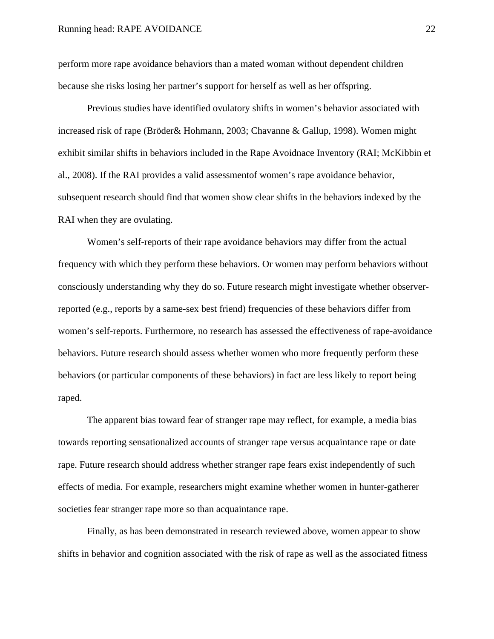perform more rape avoidance behaviors than a mated woman without dependent children because she risks losing her partner's support for herself as well as her offspring.

Previous studies have identified ovulatory shifts in women's behavior associated with increased risk of rape (Bröder& Hohmann, 2003; Chavanne & Gallup, 1998). Women might exhibit similar shifts in behaviors included in the Rape Avoidnace Inventory (RAI; McKibbin et al., 2008). If the RAI provides a valid assessmentof women's rape avoidance behavior, subsequent research should find that women show clear shifts in the behaviors indexed by the RAI when they are ovulating.

 Women's self-reports of their rape avoidance behaviors may differ from the actual frequency with which they perform these behaviors. Or women may perform behaviors without consciously understanding why they do so. Future research might investigate whether observerreported (e.g., reports by a same-sex best friend) frequencies of these behaviors differ from women's self-reports. Furthermore, no research has assessed the effectiveness of rape-avoidance behaviors. Future research should assess whether women who more frequently perform these behaviors (or particular components of these behaviors) in fact are less likely to report being raped.

The apparent bias toward fear of stranger rape may reflect, for example, a media bias towards reporting sensationalized accounts of stranger rape versus acquaintance rape or date rape. Future research should address whether stranger rape fears exist independently of such effects of media. For example, researchers might examine whether women in hunter-gatherer societies fear stranger rape more so than acquaintance rape.

 Finally, as has been demonstrated in research reviewed above, women appear to show shifts in behavior and cognition associated with the risk of rape as well as the associated fitness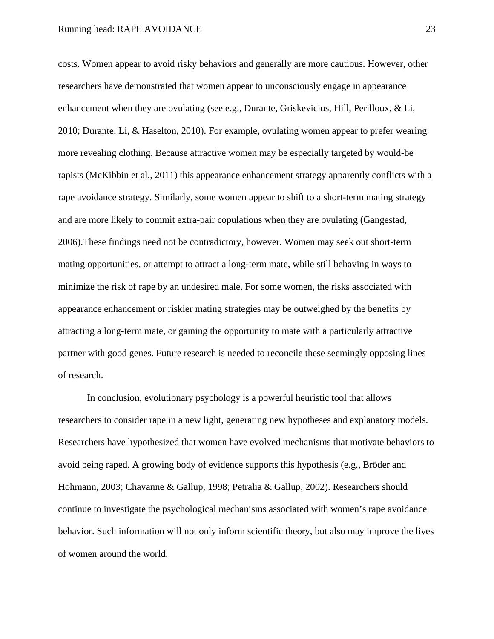costs. Women appear to avoid risky behaviors and generally are more cautious. However, other researchers have demonstrated that women appear to unconsciously engage in appearance enhancement when they are ovulating (see e.g., Durante, Griskevicius, Hill, Perilloux, & Li, 2010; Durante, Li, & Haselton, 2010). For example, ovulating women appear to prefer wearing more revealing clothing. Because attractive women may be especially targeted by would-be rapists (McKibbin et al., 2011) this appearance enhancement strategy apparently conflicts with a rape avoidance strategy. Similarly, some women appear to shift to a short-term mating strategy and are more likely to commit extra-pair copulations when they are ovulating (Gangestad, 2006).These findings need not be contradictory, however. Women may seek out short-term mating opportunities, or attempt to attract a long-term mate, while still behaving in ways to minimize the risk of rape by an undesired male. For some women, the risks associated with appearance enhancement or riskier mating strategies may be outweighed by the benefits by attracting a long-term mate, or gaining the opportunity to mate with a particularly attractive partner with good genes. Future research is needed to reconcile these seemingly opposing lines of research.

In conclusion, evolutionary psychology is a powerful heuristic tool that allows researchers to consider rape in a new light, generating new hypotheses and explanatory models. Researchers have hypothesized that women have evolved mechanisms that motivate behaviors to avoid being raped. A growing body of evidence supports this hypothesis (e.g., Bröder and Hohmann, 2003; Chavanne & Gallup, 1998; Petralia & Gallup, 2002). Researchers should continue to investigate the psychological mechanisms associated with women's rape avoidance behavior. Such information will not only inform scientific theory, but also may improve the lives of women around the world.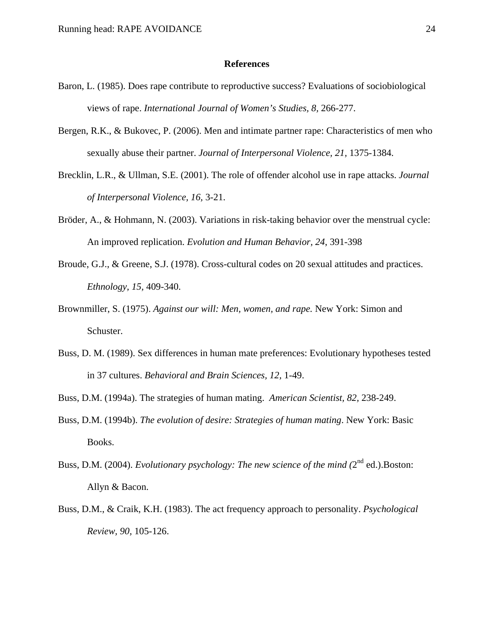#### **References**

- Baron, L. (1985). Does rape contribute to reproductive success? Evaluations of sociobiological views of rape. *International Journal of Women's Studies, 8,* 266-277.
- Bergen, R.K., & Bukovec, P. (2006). Men and intimate partner rape: Characteristics of men who sexually abuse their partner. *Journal of Interpersonal Violence, 21,* 1375-1384.
- Brecklin, L.R., & Ullman, S.E. (2001). The role of offender alcohol use in rape attacks. *Journal of Interpersonal Violence, 16,* 3-21.
- Bröder, A., & Hohmann, N. (2003). Variations in risk-taking behavior over the menstrual cycle: An improved replication. *Evolution and Human Behavior, 24*, 391-398
- Broude, G.J., & Greene, S.J. (1978). Cross-cultural codes on 20 sexual attitudes and practices. *Ethnology, 15,* 409-340.
- Brownmiller, S. (1975). *Against our will: Men, women, and rape.* New York: Simon and Schuster.
- Buss, D. M. (1989). Sex differences in human mate preferences: Evolutionary hypotheses tested in 37 cultures. *Behavioral and Brain Sciences, 12,* 1-49.
- Buss, D.M. (1994a). The strategies of human mating. *American Scientist, 82,* 238-249.
- Buss, D.M. (1994b). *The evolution of desire: Strategies of human mating*. New York: Basic Books.
- Buss, D.M. (2004). *Evolutionary psychology: The new science of the mind (2<sup>nd</sup> ed.)*. Boston: Allyn & Bacon.
- Buss, D.M., & Craik, K.H. (1983). The act frequency approach to personality. *Psychological Review, 90,* 105-126.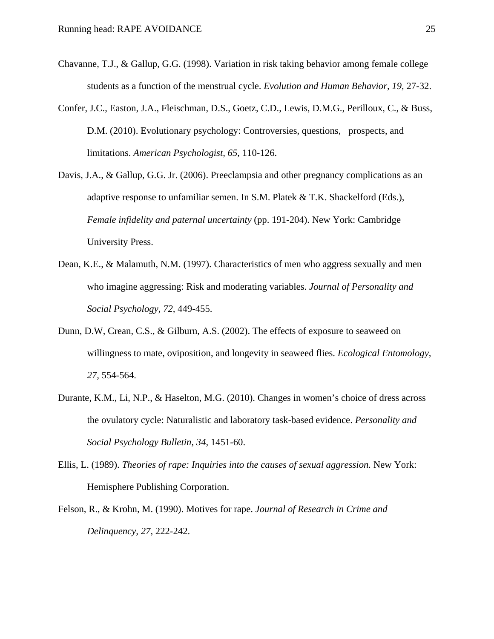- Chavanne, T.J., & Gallup, G.G. (1998). Variation in risk taking behavior among female college students as a function of the menstrual cycle. *Evolution and Human Behavior, 19,* 27-32.
- Confer, J.C., Easton, J.A., Fleischman, D.S., Goetz, C.D., Lewis, D.M.G., Perilloux, C., & Buss, D.M. (2010). Evolutionary psychology: Controversies, questions, prospects, and limitations. *American Psychologist, 65,* 110-126.
- Davis, J.A., & Gallup, G.G. Jr. (2006). Preeclampsia and other pregnancy complications as an adaptive response to unfamiliar semen. In S.M. Platek & T.K. Shackelford (Eds.), *Female infidelity and paternal uncertainty* (pp. 191-204). New York: Cambridge University Press.
- Dean, K.E., & Malamuth, N.M. (1997). Characteristics of men who aggress sexually and men who imagine aggressing: Risk and moderating variables. *Journal of Personality and Social Psychology, 72,* 449-455.
- Dunn, D.W, Crean, C.S., & Gilburn, A.S. (2002). The effects of exposure to seaweed on willingness to mate, oviposition, and longevity in seaweed flies. *Ecological Entomology, 27,* 554-564.
- Durante, K.M., Li, N.P., & Haselton, M.G. (2010). Changes in women's choice of dress across the ovulatory cycle: Naturalistic and laboratory task-based evidence. *Personality and Social Psychology Bulletin, 34,* 1451-60.
- Ellis, L. (1989). *Theories of rape: Inquiries into the causes of sexual aggression.* New York: Hemisphere Publishing Corporation.
- Felson, R., & Krohn, M. (1990). Motives for rape. *Journal of Research in Crime and Delinquency, 27,* 222-242.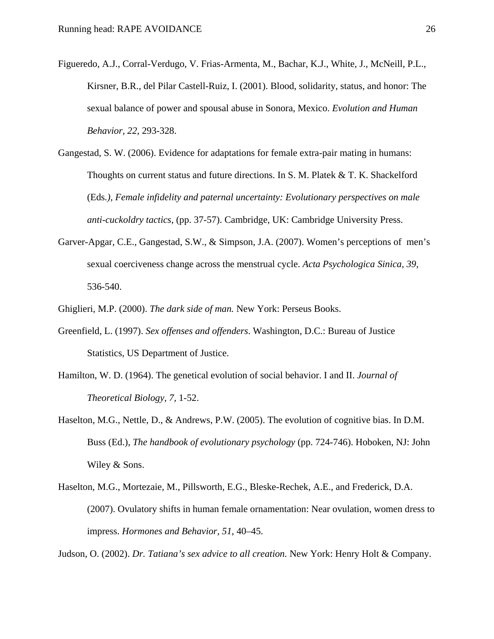- Figueredo, A.J., Corral-Verdugo, V. Frias-Armenta, M., Bachar, K.J., White, J., McNeill, P.L., Kirsner, B.R., del Pilar Castell-Ruiz, I. (2001). Blood, solidarity, status, and honor: The sexual balance of power and spousal abuse in Sonora, Mexico. *Evolution and Human Behavior, 22,* 293-328.
- Gangestad, S. W. (2006). Evidence for adaptations for female extra-pair mating in humans: Thoughts on current status and future directions. In S. M. Platek & T. K. Shackelford (Eds*.), Female infidelity and paternal uncertainty: Evolutionary perspectives on male anti-cuckoldry tactics*, (pp. 37-57). Cambridge, UK: Cambridge University Press.
- Garver-Apgar, C.E., Gangestad, S.W., & Simpson, J.A. (2007). Women's perceptions of men's sexual coerciveness change across the menstrual cycle. *Acta Psychologica Sinica, 39,*  536-540.
- Ghiglieri, M.P. (2000). *The dark side of man.* New York: Perseus Books.
- Greenfield, L. (1997). *Sex offenses and offenders*. Washington, D.C.: Bureau of Justice Statistics, US Department of Justice.
- Hamilton, W. D. (1964). The genetical evolution of social behavior. I and II. *Journal of Theoretical Biology, 7,* 1-52.
- Haselton, M.G., Nettle, D., & Andrews, P.W. (2005). The evolution of cognitive bias. In D.M. Buss (Ed.), *The handbook of evolutionary psychology* (pp. 724-746). Hoboken, NJ: John Wiley & Sons.
- Haselton, M.G., Mortezaie, M., Pillsworth, E.G., Bleske-Rechek, A.E., and Frederick, D.A. (2007). Ovulatory shifts in human female ornamentation: Near ovulation, women dress to impress. *Hormones and Behavior, 51*, 40–45.

Judson, O. (2002). *Dr. Tatiana's sex advice to all creation.* New York: Henry Holt & Company.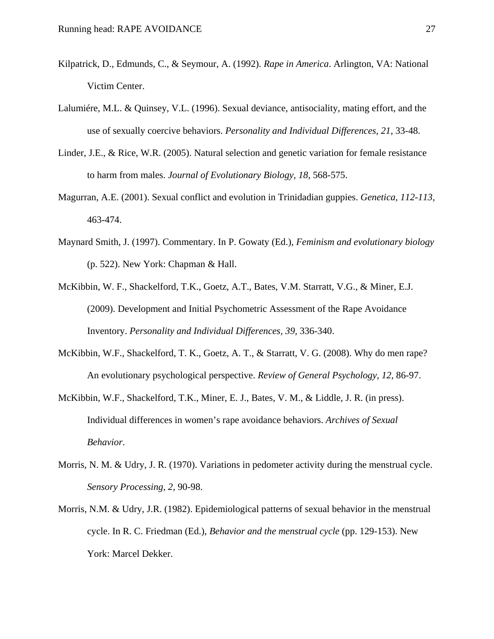- Kilpatrick, D., Edmunds, C., & Seymour, A. (1992). *Rape in America*. Arlington, VA: National Victim Center.
- Lalumiére, M.L. & Quinsey, V.L. (1996). Sexual deviance, antisociality, mating effort, and the use of sexually coercive behaviors. *Personality and Individual Differences, 21,* 33-48.
- Linder, J.E., & Rice, W.R. (2005). Natural selection and genetic variation for female resistance to harm from males. *Journal of Evolutionary Biology, 18,* 568-575.
- Magurran, A.E. (2001). Sexual conflict and evolution in Trinidadian guppies. *Genetica, 112-113*, 463-474.
- Maynard Smith, J. (1997). Commentary. In P. Gowaty (Ed.), *Feminism and evolutionary biology* (p. 522). New York: Chapman & Hall.
- McKibbin, W. F., Shackelford, T.K., Goetz, A.T., Bates, V.M. Starratt, V.G., & Miner, E.J. (2009). Development and Initial Psychometric Assessment of the Rape Avoidance Inventory. *Personality and Individual Differences, 39,* 336-340.
- McKibbin, W.F., Shackelford, T. K., Goetz, A. T., & Starratt, V. G. (2008). Why do men rape? An evolutionary psychological perspective. *Review of General Psychology, 12,* 86-97.
- McKibbin, W.F., Shackelford, T.K., Miner, E. J., Bates, V. M., & Liddle, J. R. (in press). Individual differences in women's rape avoidance behaviors. *Archives of Sexual Behavior*.
- Morris, N. M. & Udry, J. R. (1970). Variations in pedometer activity during the menstrual cycle. *Sensory Processing, 2,* 90-98.
- Morris, N.M. & Udry, J.R. (1982). Epidemiological patterns of sexual behavior in the menstrual cycle. In R. C. Friedman (Ed.), *Behavior and the menstrual cycle* (pp. 129-153). New York: Marcel Dekker.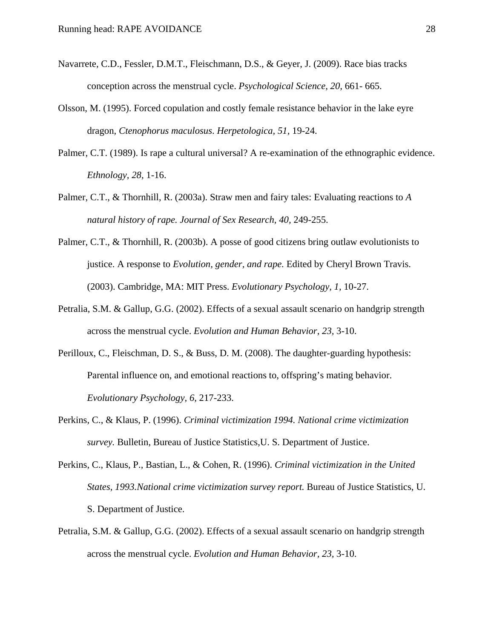- Navarrete, C.D., Fessler, D.M.T., Fleischmann, D.S., & Geyer, J. (2009). Race bias tracks conception across the menstrual cycle. *Psychological Science, 20,* 661- 665.
- Olsson, M. (1995). Forced copulation and costly female resistance behavior in the lake eyre dragon, *Ctenophorus maculosus*. *Herpetologica, 51,* 19-24.
- Palmer, C.T. (1989). Is rape a cultural universal? A re-examination of the ethnographic evidence. *Ethnology, 28,* 1-16.
- Palmer, C.T., & Thornhill, R. (2003a). Straw men and fairy tales: Evaluating reactions to *A natural history of rape. Journal of Sex Research, 40,* 249-255.
- Palmer, C.T., & Thornhill, R. (2003b). A posse of good citizens bring outlaw evolutionists to justice. A response to *Evolution, gender, and rape.* Edited by Cheryl Brown Travis. (2003). Cambridge, MA: MIT Press. *Evolutionary Psychology, 1,* 10-27.
- Petralia, S.M. & Gallup, G.G. (2002). Effects of a sexual assault scenario on handgrip strength across the menstrual cycle. *Evolution and Human Behavior, 23,* 3-10.
- Perilloux, C., Fleischman, D. S., & Buss, D. M. (2008). The daughter-guarding hypothesis: Parental influence on, and emotional reactions to, offspring's mating behavior. *Evolutionary Psychology, 6,* 217-233.
- Perkins, C., & Klaus, P. (1996). *Criminal victimization 1994. National crime victimization survey.* Bulletin, Bureau of Justice Statistics,U. S. Department of Justice.
- Perkins, C., Klaus, P., Bastian, L., & Cohen, R. (1996). *Criminal victimization in the United States, 1993.National crime victimization survey report.* Bureau of Justice Statistics, U. S. Department of Justice.
- Petralia, S.M. & Gallup, G.G. (2002). Effects of a sexual assault scenario on handgrip strength across the menstrual cycle. *Evolution and Human Behavior, 23,* 3-10.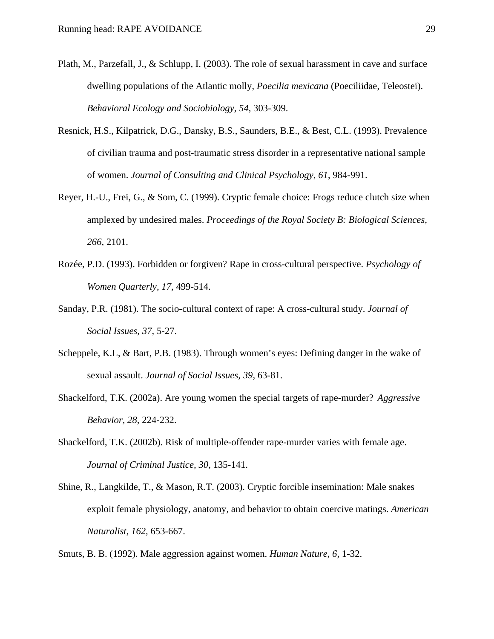- Plath, M., Parzefall, J., & Schlupp, I. (2003). The role of sexual harassment in cave and surface dwelling populations of the Atlantic molly, *Poecilia mexicana* (Poeciliidae, Teleostei). *Behavioral Ecology and Sociobiology, 54,* 303-309.
- Resnick, H.S., Kilpatrick, D.G., Dansky, B.S., Saunders, B.E., & Best, C.L. (1993). Prevalence of civilian trauma and post-traumatic stress disorder in a representative national sample of women. *Journal of Consulting and Clinical Psychology*, *61*, 984-991.
- Reyer, H.-U., Frei, G., & Som, C. (1999). Cryptic female choice: Frogs reduce clutch size when amplexed by undesired males. *Proceedings of the Royal Society B: Biological Sciences, 266,* 2101.
- Rozée, P.D. (1993). Forbidden or forgiven? Rape in cross-cultural perspective. *Psychology of Women Quarterly, 17,* 499-514.
- Sanday, P.R. (1981). The socio-cultural context of rape: A cross-cultural study. *Journal of Social Issues, 37,* 5-27.
- Scheppele, K.L, & Bart, P.B. (1983). Through women's eyes: Defining danger in the wake of sexual assault. *Journal of Social Issues, 39,* 63-81.
- Shackelford, T.K. (2002a). Are young women the special targets of rape-murder? *Aggressive Behavior, 28,* 224-232.
- Shackelford, T.K. (2002b). Risk of multiple-offender rape-murder varies with female age. *Journal of Criminal Justice, 30,* 135-141.
- Shine, R., Langkilde, T., & Mason, R.T. (2003). Cryptic forcible insemination: Male snakes exploit female physiology, anatomy, and behavior to obtain coercive matings. *American Naturalist*, *162,* 653-667.

Smuts, B. B. (1992). Male aggression against women. *Human Nature, 6,* 1-32.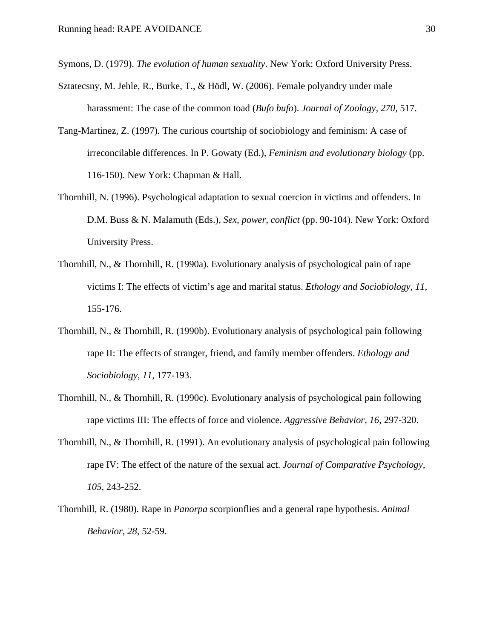Symons, D. (1979). *The evolution of human sexuality*. New York: Oxford University Press.

- Sztatecsny, M. Jehle, R., Burke, T., & Hödl, W. (2006). Female polyandry under male harassment: The case of the common toad (*Bufo bufo*). *Journal of Zoology, 270,* 517.
- Tang-Martinez, Z. (1997). The curious courtship of sociobiology and feminism: A case of irreconcilable differences. In P. Gowaty (Ed.), *Feminism and evolutionary biology* (pp. 116-150). New York: Chapman & Hall.
- Thornhill, N. (1996). Psychological adaptation to sexual coercion in victims and offenders. In D.M. Buss & N. Malamuth (Eds.), *Sex, power, conflict* (pp. 90-104)*.* New York: Oxford University Press.
- Thornhill, N., & Thornhill, R. (1990a). Evolutionary analysis of psychological pain of rape victims I: The effects of victim's age and marital status. *Ethology and Sociobiology, 11,*  155-176.
- Thornhill, N., & Thornhill, R. (1990b). Evolutionary analysis of psychological pain following rape II: The effects of stranger, friend, and family member offenders. *Ethology and Sociobiology, 11,* 177-193.
- Thornhill, N., & Thornhill, R. (1990c). Evolutionary analysis of psychological pain following rape victims III: The effects of force and violence. *Aggressive Behavior, 16,* 297-320.
- Thornhill, N., & Thornhill, R. (1991). An evolutionary analysis of psychological pain following rape IV: The effect of the nature of the sexual act. *Journal of Comparative Psychology, 105,* 243-252.
- Thornhill, R. (1980). Rape in *Panorpa* scorpionflies and a general rape hypothesis. *Animal Behavior, 28,* 52-59.